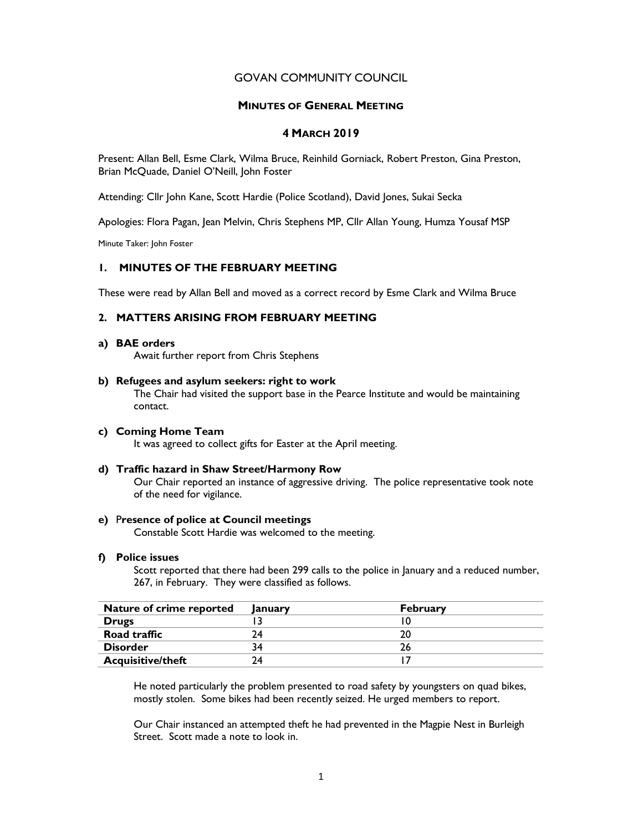# GOVAN COMMUNITY COUNCIL

## MINUTES OF GENERAL MEETING

# 4 MARCH 2019

Present: Allan Bell, Esme Clark, Wilma Bruce, Reinhild Gorniack, Robert Preston, Gina Preston, Brian McQuade, Daniel O'Neill, John Foster

Attending: Cllr John Kane, Scott Hardie (Police Scotland), David Jones, Sukai Secka

Apologies: Flora Pagan, Jean Melvin, Chris Stephens MP, Cllr Allan Young, Humza Yousaf MSP

Minute Taker: John Foster

## 1. MINUTES OF THE FEBRUARY MEETING

These were read by Allan Bell and moved as a correct record by Esme Clark and Wilma Bruce

# 2. MATTERS ARISING FROM FEBRUARY MEETING

#### a) BAE orders

Await further report from Chris Stephens

#### b) Refugees and asylum seekers: right to work

The Chair had visited the support base in the Pearce Institute and would be maintaining contact.

# c) Coming Home Team

It was agreed to collect gifts for Easter at the April meeting.

#### d) Traffic hazard in Shaw Street/Harmony Row

Our Chair reported an instance of aggressive driving. The police representative took note of the need for vigilance.

## e) Presence of police at Council meetings

Constable Scott Hardie was welcomed to the meeting.

#### f) Police issues

Scott reported that there had been 299 calls to the police in January and a reduced number, 267, in February. They were classified as follows.

| Nature of crime reported | lanuary | <b>February</b> |
|--------------------------|---------|-----------------|
| <b>Drugs</b>             |         |                 |
| Road traffic             | 74      |                 |
| <b>Disorder</b>          | 34      |                 |
| <b>Acquisitive/theft</b> | 74      |                 |

He noted particularly the problem presented to road safety by youngsters on quad bikes, mostly stolen. Some bikes had been recently seized. He urged members to report.

Our Chair instanced an attempted theft he had prevented in the Magpie Nest in Burleigh Street. Scott made a note to look in.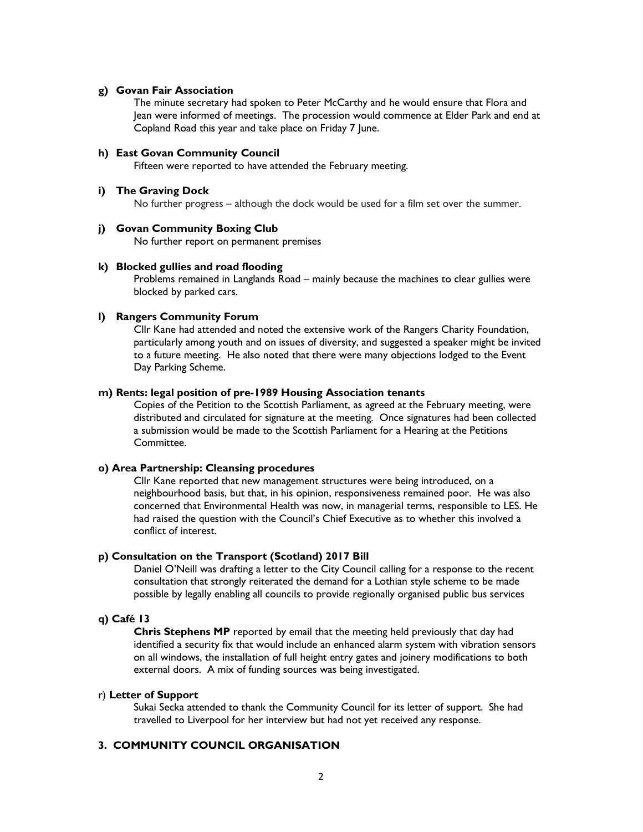#### g) Govan Fair Association

The minute secretary had spoken to Peter McCarthy and he would ensure that Flora and Jean were informed of meetings. The procession would commence at Elder Park and end at Copland Road this year and take place on Friday 7 June.

## h) East Govan Community Council

Fifteen were reported to have attended the February meeting.

#### i) The Graving Dock

No further progress – although the dock would be used for a film set over the summer.

#### j) Govan Community Boxing Club

No further report on permanent premises

#### k) Blocked gullies and road flooding

Problems remained in Langlands Road – mainly because the machines to clear gullies were blocked by parked cars.

## l) Rangers Community Forum

Cllr Kane had attended and noted the extensive work of the Rangers Charity Foundation, particularly among youth and on issues of diversity, and suggested a speaker might be invited to a future meeting. He also noted that there were many objections lodged to the Event Day Parking Scheme.

## m) Rents: legal position of pre-1989 Housing Association tenants

Copies of the Petition to the Scottish Parliament, as agreed at the February meeting, were distributed and circulated for signature at the meeting. Once signatures had been collected a submission would be made to the Scottish Parliament for a Hearing at the Petitions Committee.

## o) Area Partnership: Cleansing procedures

Cllr Kane reported that new management structures were being introduced, on a neighbourhood basis, but that, in his opinion, responsiveness remained poor. He was also concerned that Environmental Health was now, in managerial terms, responsible to LES. He had raised the question with the Council's Chief Executive as to whether this involved a conflict of interest.

## p) Consultation on the Transport (Scotland) 2017 Bill

Daniel O'Neill was drafting a letter to the City Council calling for a response to the recent consultation that strongly reiterated the demand for a Lothian style scheme to be made possible by legally enabling all councils to provide regionally organised public bus services

#### q) Café 13

Chris Stephens MP reported by email that the meeting held previously that day had identified a security fix that would include an enhanced alarm system with vibration sensors on all windows, the installation of full height entry gates and joinery modifications to both external doors. A mix of funding sources was being investigated.

## r) Letter of Support

Sukai Secka attended to thank the Community Council for its letter of support. She had travelled to Liverpool for her interview but had not yet received any response.

# 3. COMMUNITY COUNCIL ORGANISATION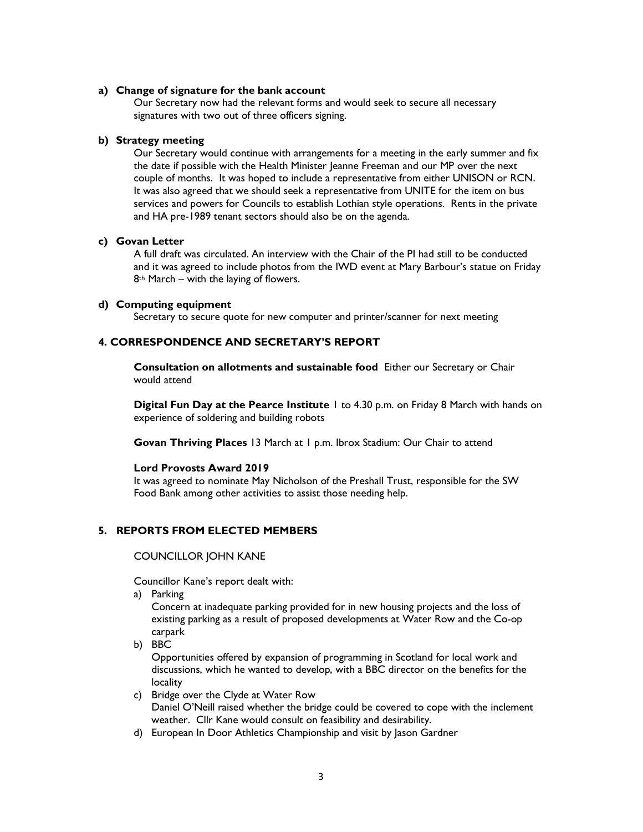### a) Change of signature for the bank account

Our Secretary now had the relevant forms and would seek to secure all necessary signatures with two out of three officers signing.

### b) Strategy meeting

Our Secretary would continue with arrangements for a meeting in the early summer and fix the date if possible with the Health Minister Jeanne Freeman and our MP over the next couple of months. It was hoped to include a representative from either UNISON or RCN. It was also agreed that we should seek a representative from UNITE for the item on bus services and powers for Councils to establish Lothian style operations. Rents in the private and HA pre-1989 tenant sectors should also be on the agenda.

#### c) Govan Letter

A full draft was circulated. An interview with the Chair of the PI had still to be conducted and it was agreed to include photos from the IWD event at Mary Barbour's statue on Friday  $8<sup>th</sup>$  March – with the laying of flowers.

#### d) Computing equipment

Secretary to secure quote for new computer and printer/scanner for next meeting

## 4. CORRESPONDENCE AND SECRETARY'S REPORT

Consultation on allotments and sustainable food Either our Secretary or Chair would attend

Digital Fun Day at the Pearce Institute 1 to 4.30 p.m. on Friday 8 March with hands on experience of soldering and building robots

Govan Thriving Places 13 March at 1 p.m. Ibrox Stadium: Our Chair to attend

#### Lord Provosts Award 2019

It was agreed to nominate May Nicholson of the Preshall Trust, responsible for the SW Food Bank among other activities to assist those needing help.

# 5. REPORTS FROM ELECTED MEMBERS

## COUNCILLOR JOHN KANE

Councillor Kane's report dealt with:

a) Parking

Concern at inadequate parking provided for in new housing projects and the loss of existing parking as a result of proposed developments at Water Row and the Co-op carpark

b) BBC

Opportunities offered by expansion of programming in Scotland for local work and discussions, which he wanted to develop, with a BBC director on the benefits for the locality

- c) Bridge over the Clyde at Water Row Daniel O'Neill raised whether the bridge could be covered to cope with the inclement weather. Cllr Kane would consult on feasibility and desirability.
- d) European In Door Athletics Championship and visit by Jason Gardner